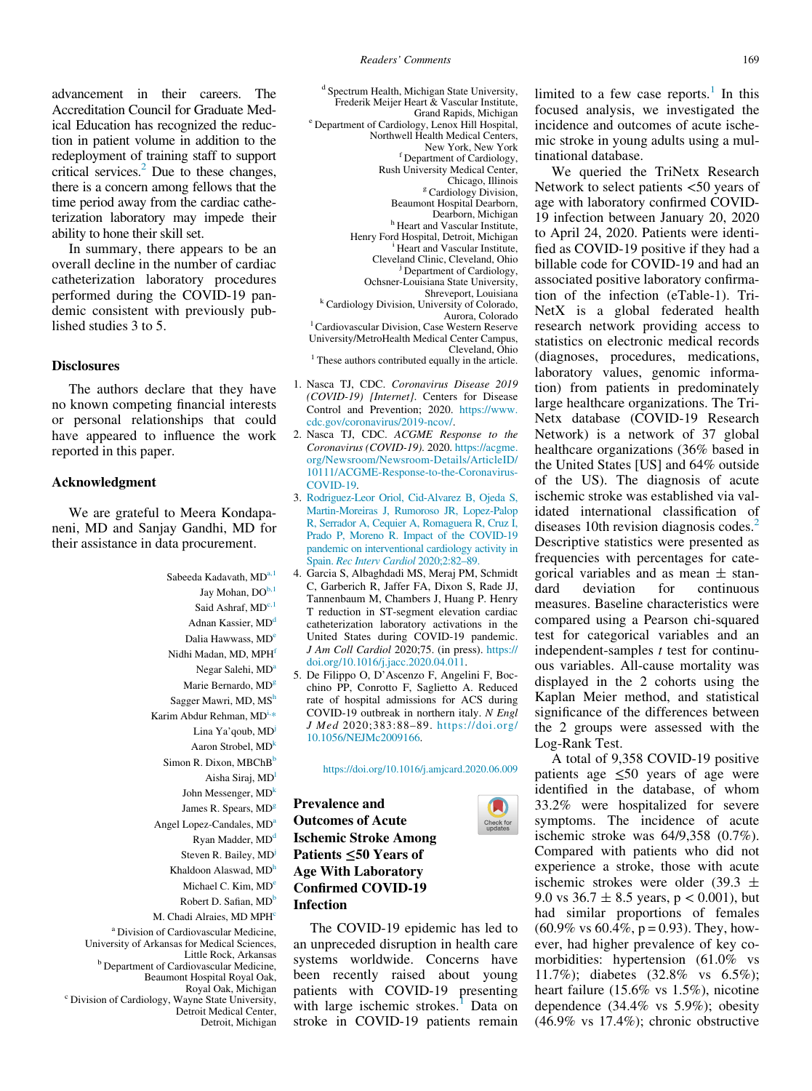advancement in their careers. The Accreditation Council for Graduate Medical Education has recognized the reduction in patient volume in addition to the redeployment of training staff to support critical services. $^{2}$  Due to these changes, there is a concern among fellows that the time period away from the cardiac catheterization laboratory may impede their ability to hone their skill set.

In summary, there appears to be an overall decline in the number of cardiac catheterization laboratory procedures performed during the COVID-19 pandemic consistent with previously published studies 3 to 5.

## Disclosures

The authors declare that they have no known competing financial interests or personal relationships that could have appeared to influence the work reported in this paper.

## Acknowledgment

We are grateful to Meera Kondapaneni, MD and Sanjay Gandhi, MD for their assistance in data procurement.

> Sabeeda Kadavath, MDa,1 Jay Mohan, DO<sup>b,1</sup> Said Ashraf,  $MD<sup>c,1</sup>$ Adnan Kassier, MD<sup>o</sup> Dalia Hawwass, MD<sup>e</sup> Nidhi Madan, MD, MPH<sup>f</sup> Negar Salehi, MD<sup>a</sup> Marie Bernardo, MD<sup>g</sup> Sagger Mawri, MD, MSh Karim Abdur Rehman, MD<sup>i,\*</sup> Lina Ya'qoub, MD<sup>j</sup> Aaron Strobel, MD<sup>k</sup> Simon R. Dixon, MBChB<sup>b</sup> Aisha Siraj, MD<sup>l</sup> John Messenger,  $MD<sup>k</sup>$ James R. Spears, MD<sup>g</sup> Angel Lopez-Candales, MD<sup>a</sup> Ryan Madder, MD<sup>d</sup> Steven R. Bailey, MD<sup>j</sup> Khaldoon Alaswad, MD<sup>F</sup> Michael C. Kim, MD<sup>e</sup> Robert D. Safian, MD<sup>b</sup> M. Chadi Alraies, MD MPH<sup>c</sup> <sup>a</sup> Division of Cardiovascular Medicine,

University of Arkansas for Medical Sciences, <sup>b</sup> Department of Cardiovascular Medicine, Beaumont Hospital Royal Oak, <sup>c</sup> Division of Cardiology, Wayne State University, Detroit Medical Center,

Detroit, Michigan

<sup>d</sup> Spectrum Health, Michigan State University, Frederik Meijer Heart & Vascular Institute,<br>Grand Rapids, Michigan <sup>e</sup> Department of Cardiology, Lenox Hill Hospital, Northwell Health Medical Centers, New York, New York Department of Cardiology, Rush University Medical Center, <sup>g</sup> Cardiology Division, Beaumont Hospital Dearborn, <sup>h</sup> Heart and Vascular Institute, Henry Ford Hospital, Detroit, Michigan <sup>i</sup> <sup>1</sup> Heart and Vascular Institute. Cleveland Clinic, Cleveland, Ohio <sup>j</sup>

Ochsner-Louisiana State University, <sup>k</sup> Cardiology Division, University of Colorado,<br>Aurora, Colorado

<sup>J</sup> Department of Cardiology,

Aurora, Colorado <sup>l</sup> Cardiovascular Division, Case Western Reserve

University/MetroHealth Medical Center Campus,  $<sup>1</sup>$  These authors contributed equally in the article.</sup>

- 1. Nasca TJ, CDC. Coronavirus Disease 2019 (COVID-19) [Internet]. Centers for Disease Control and Prevention; 2020. [https://www.](https://www.cdc.gov/coronavirus/2019-ncov/) [cdc.gov/coronavirus/2019-ncov/](https://www.cdc.gov/coronavirus/2019-ncov/).
- 2. Nasca TJ, CDC. ACGME Response to the Coronavirus (COVID-19). 2020. [https://acgme.](https://acgme.org/Newsroom/Newsroom-Details/ArticleID/10111/ACGME-Response-to-the-Coronavirus-COVID-19) [org/Newsroom/Newsroom-Details/ArticleID/](https://acgme.org/Newsroom/Newsroom-Details/ArticleID/10111/ACGME-Response-to-the-Coronavirus-COVID-19) [10111/ACGME-Response-to-the-Coronavirus-](https://acgme.org/Newsroom/Newsroom-Details/ArticleID/10111/ACGME-Response-to-the-Coronavirus-COVID-19)[COVID-19.](https://acgme.org/Newsroom/Newsroom-Details/ArticleID/10111/ACGME-Response-to-the-Coronavirus-COVID-19)
- 3. [Rodriguez-Leor Oriol, Cid-Alvarez B, Ojeda S,](http://refhub.elsevier.com/S0002-9149(20)30548-8/sbref0003_24649) [Martin-Moreiras J, Rumoroso JR, Lopez-Palop](http://refhub.elsevier.com/S0002-9149(20)30548-8/sbref0003_24649) [R, Serrador A, Cequier A, Romaguera R, Cruz I,](http://refhub.elsevier.com/S0002-9149(20)30548-8/sbref0003_24649) [Prado P, Moreno R. Impact of the COVID-19](http://refhub.elsevier.com/S0002-9149(20)30548-8/sbref0003_24649) [pandemic on interventional cardiology activity in](http://refhub.elsevier.com/S0002-9149(20)30548-8/sbref0003_24649) Spain. [Rec Interv Cardiol](http://refhub.elsevier.com/S0002-9149(20)30548-8/sbref0003_24649) 2020;2:82–89.
- 4. Garcia S, Albaghdadi MS, Meraj PM, Schmidt C, Garberich R, Jaffer FA, Dixon S, Rade JJ, Tannenbaum M, Chambers J, Huang P. Henry T reduction in ST-segment elevation cardiac catheterization laboratory activations in the United States during COVID-19 pandemic. J Am Coll Cardiol 2020;75. (in press). [https://](https://doi.org/10.1016/j.jacc.2020.04.011) [doi.org/10.1016/j.jacc.2020.04.011.](https://doi.org/10.1016/j.jacc.2020.04.011)
- 5. De Filippo O, D'Ascenzo F, Angelini F, Bocchino PP, Conrotto F, Saglietto A. Reduced rate of hospital admissions for ACS during COVID-19 outbreak in northern italy. N Engl J Med 2020;383:88–89. https://doi.org/ [10.1056/NEJMc2009166](https://doi.org/10.1056/NEJMc2009166).

<https://doi.org/10.1016/j.amjcard.2020.06.009>

Prevalence and Outcomes of Acute Ischemic Stroke Among Patients ≤50 Years of Age With Laboratory Confirmed COVID-19 Infection

The COVID-19 epidemic has led to an unpreceded disruption in health care systems worldwide. Concerns have been recently raised about young patients with COVID-19 presenting with large ischemic strokes.<sup>1</sup> Data on stroke in COVID-19 patients remain

limited to a few case reports. $\frac{1}{1}$  In this focused analysis, we investigated the incidence and outcomes of acute ischemic stroke in young adults using a multinational database.

We queried the TriNetx Research Network to select patients <50 years of age with laboratory confirmed COVID-19 infection between January 20, 2020 to April 24, 2020. Patients were identified as COVID-19 positive if they had a billable code for COVID-19 and had an associated positive laboratory confirmation of the infection (eTable-1). Tri-NetX is a global federated health research network providing access to statistics on electronic medical records (diagnoses, procedures, medications, laboratory values, genomic information) from patients in predominately large healthcare organizations. The Tri-Netx database (COVID-19 Research Network) is a network of 37 global healthcare organizations (36% based in the United States [US] and 64% outside of the US). The diagnosis of acute ischemic stroke was established via validated international classification of diseases 10th revision diagnosis codes.<sup>2</sup> Descriptive statistics were presented as frequencies with percentages for categorical variables and as mean  $\pm$  stan-<br>dard deviation for continuous continuous measures. Baseline characteristics were compared using a Pearson chi-squared test for categorical variables and an independent-samples  $t$  test for continuous variables. All-cause mortality was displayed in the 2 cohorts using the Kaplan Meier method, and statistical significance of the differences between the 2 groups were assessed with the Log-Rank Test.

A total of 9,358 COVID-19 positive patients age ≤50 years of age were identified in the database, of whom 33.2% were hospitalized for severe symptoms. The incidence of acute ischemic stroke was 64/9,358 (0.7%). Compared with patients who did not experience a stroke, those with acute ischemic strokes were older (39.3  $\pm$ 9.0 vs  $36.7 \pm 8.5$  years, p < 0.001), but had similar proportions of females  $(60.9\% \text{ vs } 60.4\%, \text{p} = 0.93)$ . They, however, had higher prevalence of key comorbidities: hypertension (61.0% vs 11.7%); diabetes (32.8% vs 6.5%); heart failure (15.6% vs 1.5%), nicotine dependence (34.4% vs 5.9%); obesity (46.9% vs 17.4%); chronic obstructive